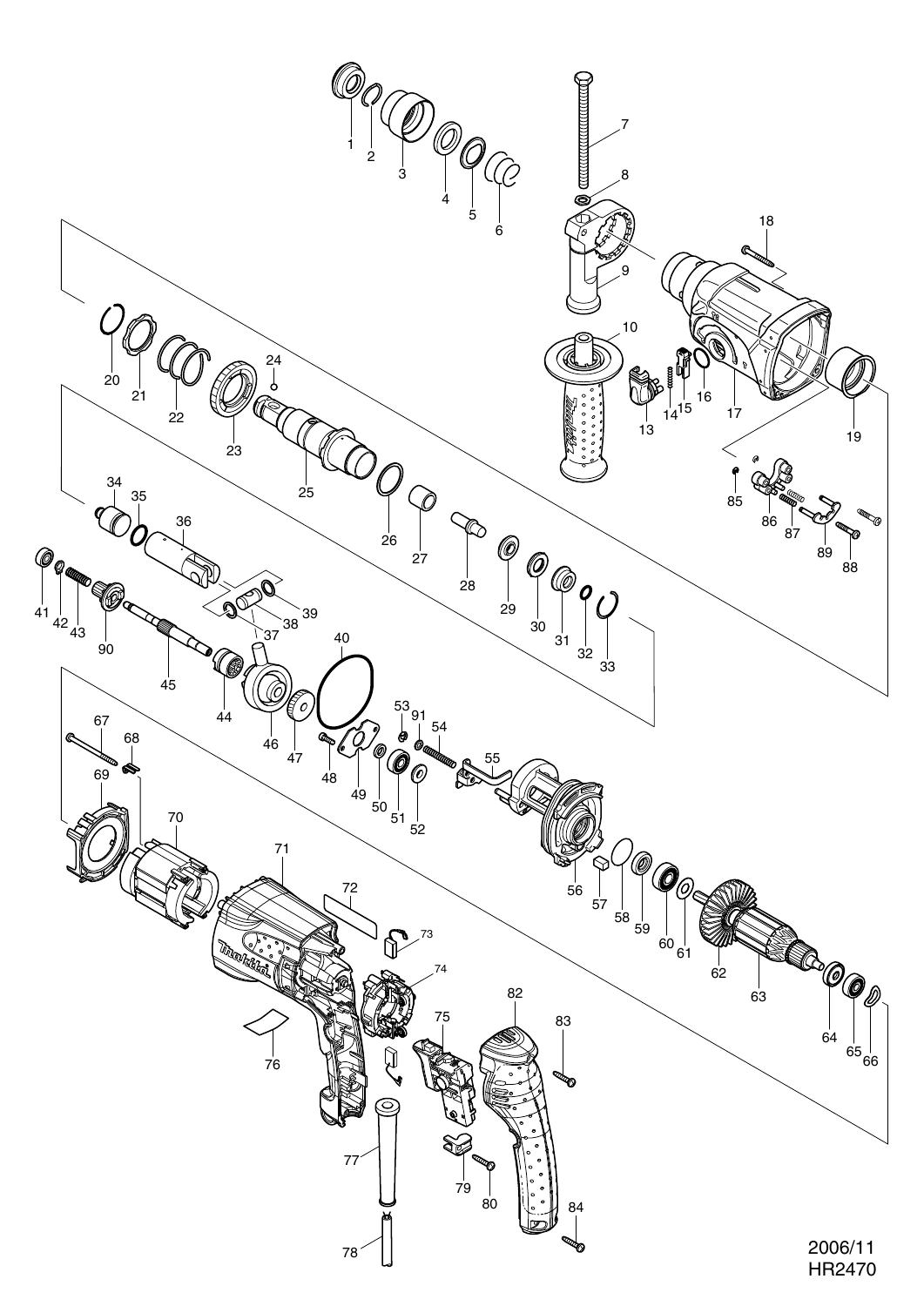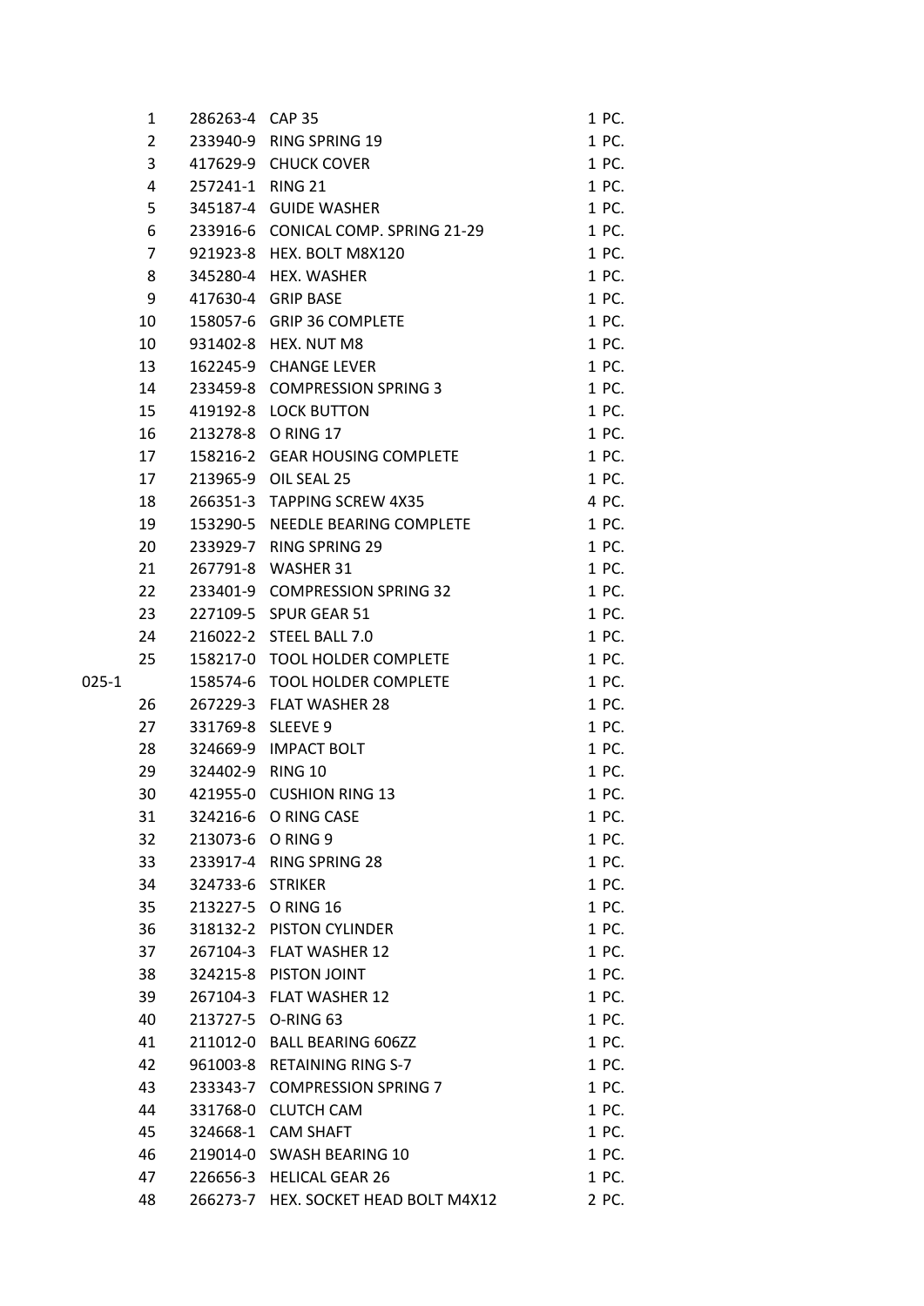|       | 1              | 286263-4 CAP 35   |                                      | 1 PC. |
|-------|----------------|-------------------|--------------------------------------|-------|
|       | $\overline{2}$ |                   | 233940-9 RING SPRING 19              | 1 PC. |
|       | 3              |                   | 417629-9 CHUCK COVER                 | 1 PC. |
|       | 4              | 257241-1 RING 21  |                                      | 1 PC. |
|       | 5              |                   | 345187-4 GUIDE WASHER                | 1 PC. |
|       | 6              |                   | 233916-6 CONICAL COMP. SPRING 21-29  | 1 PC. |
|       | 7              |                   | 921923-8 HEX. BOLT M8X120            | 1 PC. |
|       | 8              |                   | 345280-4 HEX. WASHER                 | 1 PC. |
|       | 9              |                   | 417630-4 GRIP BASE                   | 1 PC. |
|       | 10             |                   | 158057-6 GRIP 36 COMPLETE            | 1 PC. |
|       | 10             |                   | 931402-8 HEX. NUT M8                 | 1 PC. |
|       | 13             |                   | 162245-9 CHANGE LEVER                | 1 PC. |
|       | 14             |                   | 233459-8 COMPRESSION SPRING 3        | 1 PC. |
|       | 15             |                   | 419192-8 LOCK BUTTON                 | 1 PC. |
|       | 16             |                   | 213278-8 O RING 17                   | 1 PC. |
|       | 17             |                   | 158216-2 GEAR HOUSING COMPLETE       | 1 PC. |
|       | 17             |                   | 213965-9 OIL SEAL 25                 | 1 PC. |
|       | 18             |                   | 266351-3 TAPPING SCREW 4X35          | 4 PC. |
|       | 19             |                   | 153290-5 NEEDLE BEARING COMPLETE     | 1 PC. |
|       | 20             |                   | 233929-7 RING SPRING 29              | 1 PC. |
|       | 21             |                   | 267791-8 WASHER 31                   | 1 PC. |
|       | 22             |                   | 233401-9 COMPRESSION SPRING 32       | 1 PC. |
|       | 23             |                   | 227109-5 SPUR GEAR 51                | 1 PC. |
|       | 24             |                   | 216022-2 STEEL BALL 7.0              | 1 PC. |
|       | 25             |                   | 158217-0 TOOL HOLDER COMPLETE        | 1 PC. |
| 025-1 |                |                   | 158574-6 TOOL HOLDER COMPLETE        | 1 PC. |
|       | 26             |                   | 267229-3 FLAT WASHER 28              | 1 PC. |
|       | 27             | 331769-8 SLEEVE 9 |                                      | 1 PC. |
|       | 28             |                   | 324669-9 IMPACT BOLT                 | 1 PC. |
|       | 29             | 324402-9 RING 10  |                                      | 1 PC. |
|       | 30             |                   | 421955-0 CUSHION RING 13             | 1 PC. |
|       | 31             |                   | 324216-6 O RING CASE                 | 1 PC. |
|       | 32             |                   | 213073-6 O RING 9                    | 1 PC. |
|       | 33             |                   | 233917-4 RING SPRING 28              | 1 PC. |
|       | 34             | 324733-6 STRIKER  |                                      | 1 PC. |
|       | 35             | 213227-5          | <b>O RING 16</b>                     | 1 PC. |
|       | 36             |                   | 318132-2 PISTON CYLINDER             | 1 PC. |
|       | 37             |                   | 267104-3 FLAT WASHER 12              | 1 PC. |
|       | 38             |                   | 324215-8 PISTON JOINT                | 1 PC. |
|       | 39             |                   | 267104-3 FLAT WASHER 12              | 1 PC. |
|       | 40             | 213727-5          | O-RING 63                            | 1 PC. |
|       | 41             |                   | 211012-0 BALL BEARING 606ZZ          | 1 PC. |
|       | 42             |                   | 961003-8 RETAINING RING S-7          | 1 PC. |
|       | 43             |                   | 233343-7 COMPRESSION SPRING 7        | 1 PC. |
|       | 44             |                   | 331768-0 CLUTCH CAM                  | 1 PC. |
|       | 45             |                   | 324668-1 CAM SHAFT                   | 1 PC. |
|       | 46             |                   | 219014-0 SWASH BEARING 10            | 1 PC. |
|       | 47             |                   | 226656-3 HELICAL GEAR 26             | 1 PC. |
|       | 48             |                   | 266273-7 HEX. SOCKET HEAD BOLT M4X12 | 2 PC. |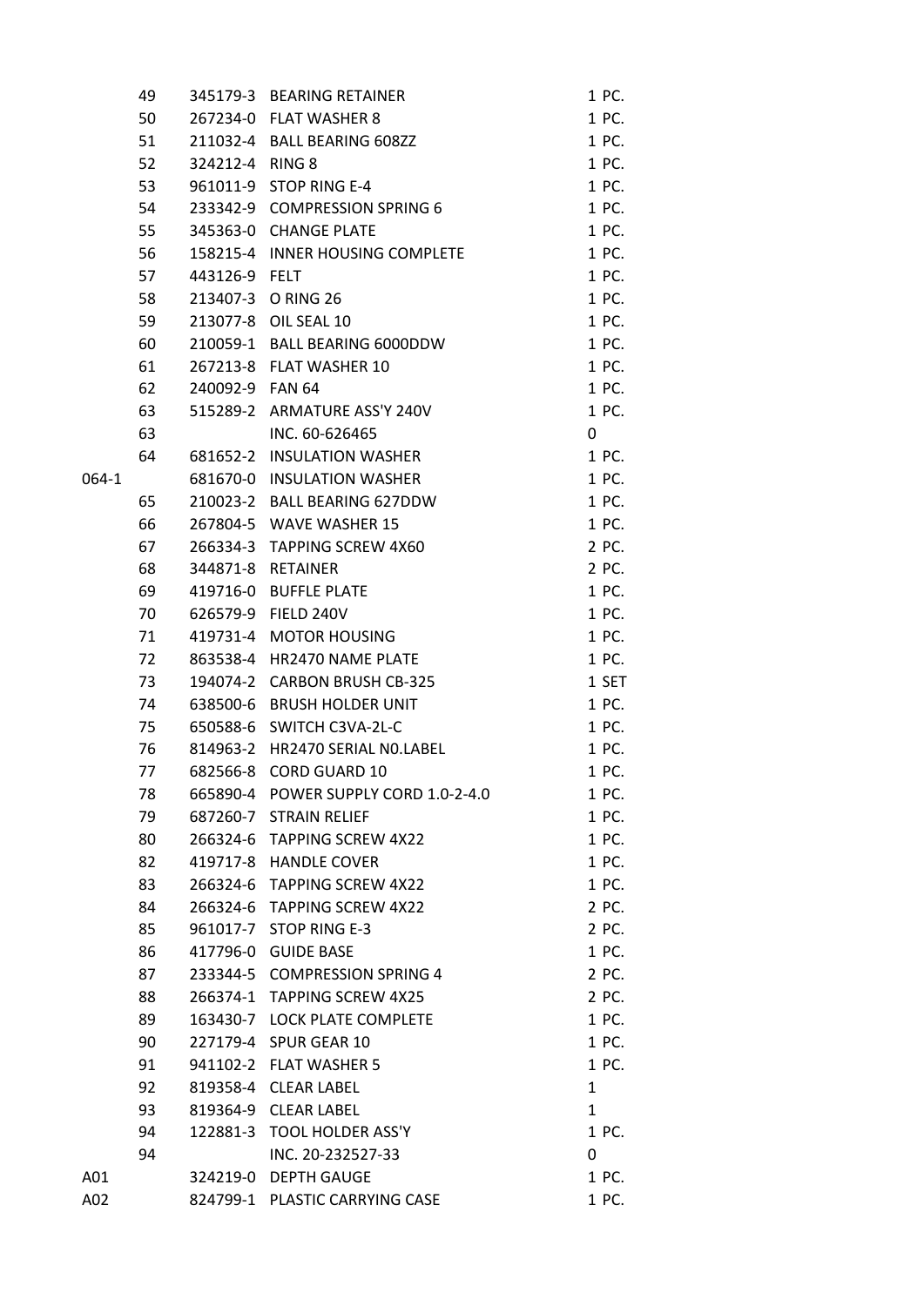|       | 49 |                 | 345179-3 BEARING RETAINER            | 1 PC.        |
|-------|----|-----------------|--------------------------------------|--------------|
|       | 50 |                 | 267234-0 FLAT WASHER 8               | 1 PC.        |
|       | 51 |                 | 211032-4 BALL BEARING 608ZZ          | 1 PC.        |
|       | 52 | 324212-4 RING 8 |                                      | 1 PC.        |
|       | 53 |                 | 961011-9 STOP RING E-4               | 1 PC.        |
|       | 54 |                 | 233342-9 COMPRESSION SPRING 6        | 1 PC.        |
|       | 55 |                 | 345363-0 CHANGE PLATE                | 1 PC.        |
|       | 56 |                 | 158215-4 INNER HOUSING COMPLETE      | 1 PC.        |
|       | 57 | 443126-9 FELT   |                                      | 1 PC.        |
|       | 58 |                 | 213407-3 O RING 26                   | 1 PC.        |
|       | 59 |                 | 213077-8 OIL SEAL 10                 | 1 PC.        |
|       | 60 |                 | 210059-1 BALL BEARING 6000DDW        | 1 PC.        |
|       | 61 |                 | 267213-8 FLAT WASHER 10              | 1 PC.        |
|       | 62 | 240092-9 FAN 64 |                                      | 1 PC.        |
|       | 63 |                 | 515289-2 ARMATURE ASS'Y 240V         | 1 PC.        |
|       | 63 |                 | INC. 60-626465                       | 0            |
|       | 64 |                 | 681652-2 INSULATION WASHER           | 1 PC.        |
| 064-1 |    |                 | 681670-0 INSULATION WASHER           | 1 PC.        |
|       | 65 |                 | 210023-2 BALL BEARING 627DDW         | 1 PC.        |
|       | 66 |                 | 267804-5 WAVE WASHER 15              | 1 PC.        |
|       | 67 |                 | 266334-3 TAPPING SCREW 4X60          | 2 PC.        |
|       | 68 |                 | 344871-8 RETAINER                    | 2 PC.        |
|       | 69 |                 | 419716-0 BUFFLE PLATE                | 1 PC.        |
|       | 70 |                 | 626579-9 FIELD 240V                  | 1 PC.        |
|       | 71 |                 | 419731-4 MOTOR HOUSING               | 1 PC.        |
|       | 72 |                 | 863538-4 HR2470 NAME PLATE           | 1 PC.        |
|       | 73 |                 | 194074-2 CARBON BRUSH CB-325         | 1 SET        |
|       | 74 |                 | 638500-6 BRUSH HOLDER UNIT           | 1 PC.        |
|       | 75 |                 | 650588-6 SWITCH C3VA-2L-C            | 1 PC.        |
|       | 76 |                 | 814963-2 HR2470 SERIAL NO.LABEL      | 1 PC.        |
|       | 77 |                 | 682566-8 CORD GUARD 10               | 1 PC.        |
|       | 78 |                 | 665890-4 POWER SUPPLY CORD 1.0-2-4.0 | 1 PC.        |
|       | 79 |                 | 687260-7 STRAIN RELIEF               | 1 PC.        |
|       | 80 |                 | 266324-6 TAPPING SCREW 4X22          | 1 PC.        |
|       | 82 |                 | 419717-8 HANDLE COVER                | 1 PC.        |
|       | 83 |                 | 266324-6 TAPPING SCREW 4X22          | 1 PC.        |
|       | 84 |                 | 266324-6 TAPPING SCREW 4X22          | 2 PC.        |
|       | 85 |                 | 961017-7 STOP RING E-3               | 2 PC.        |
|       | 86 |                 | 417796-0 GUIDE BASE                  | 1 PC.        |
|       | 87 |                 | 233344-5 COMPRESSION SPRING 4        | 2 PC.        |
|       | 88 |                 | 266374-1 TAPPING SCREW 4X25          | 2 PC.        |
|       | 89 |                 | 163430-7 LOCK PLATE COMPLETE         | 1 PC.        |
|       | 90 |                 | 227179-4 SPUR GEAR 10                | 1 PC.        |
|       | 91 |                 | 941102-2 FLAT WASHER 5               | 1 PC.        |
|       | 92 |                 | 819358-4 CLEAR LABEL                 | 1            |
|       |    |                 |                                      | $\mathbf{1}$ |
|       | 93 |                 | 819364-9 CLEAR LABEL                 |              |
|       | 94 |                 | 122881-3 TOOL HOLDER ASS'Y           | 1 PC.        |
|       | 94 |                 | INC. 20-232527-33                    | 0            |
| A01   |    |                 | 324219-0 DEPTH GAUGE                 | 1 PC.        |
| A02   |    |                 | 824799-1 PLASTIC CARRYING CASE       | 1 PC.        |